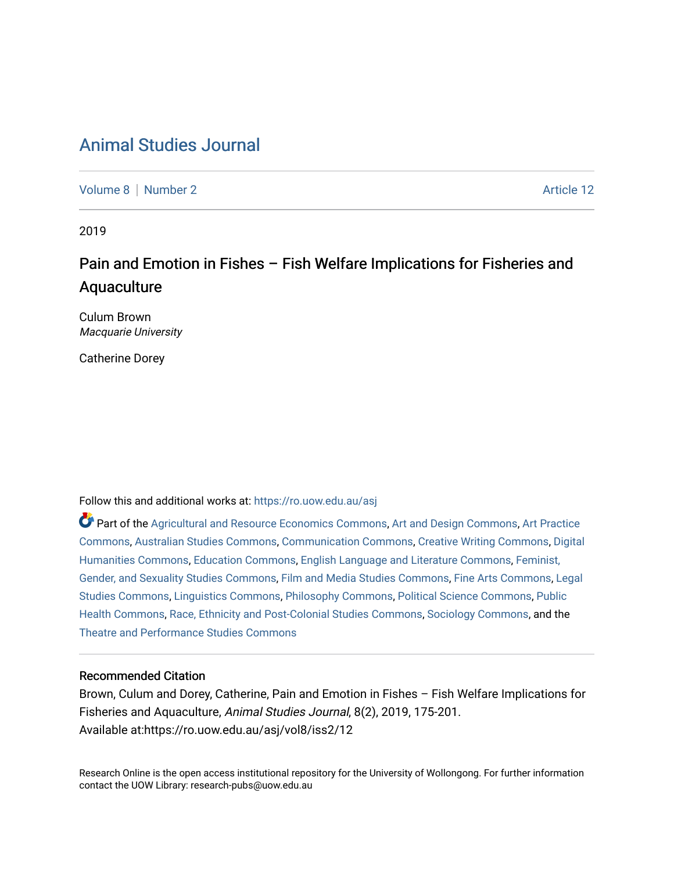# [Animal Studies Journal](https://ro.uow.edu.au/asj)

[Volume 8](https://ro.uow.edu.au/asj/vol8) | [Number 2](https://ro.uow.edu.au/asj/vol8/iss2) Article 12

2019

# Pain and Emotion in Fishes – Fish Welfare Implications for Fisheries and Aquaculture

Culum Brown Macquarie University

Catherine Dorey

Follow this and additional works at: [https://ro.uow.edu.au/asj](https://ro.uow.edu.au/asj?utm_source=ro.uow.edu.au%2Fasj%2Fvol8%2Fiss2%2F12&utm_medium=PDF&utm_campaign=PDFCoverPages) 

Part of the [Agricultural and Resource Economics Commons,](http://network.bepress.com/hgg/discipline/317?utm_source=ro.uow.edu.au%2Fasj%2Fvol8%2Fiss2%2F12&utm_medium=PDF&utm_campaign=PDFCoverPages) [Art and Design Commons](http://network.bepress.com/hgg/discipline/1049?utm_source=ro.uow.edu.au%2Fasj%2Fvol8%2Fiss2%2F12&utm_medium=PDF&utm_campaign=PDFCoverPages), [Art Practice](http://network.bepress.com/hgg/discipline/509?utm_source=ro.uow.edu.au%2Fasj%2Fvol8%2Fiss2%2F12&utm_medium=PDF&utm_campaign=PDFCoverPages) [Commons](http://network.bepress.com/hgg/discipline/509?utm_source=ro.uow.edu.au%2Fasj%2Fvol8%2Fiss2%2F12&utm_medium=PDF&utm_campaign=PDFCoverPages), [Australian Studies Commons,](http://network.bepress.com/hgg/discipline/1020?utm_source=ro.uow.edu.au%2Fasj%2Fvol8%2Fiss2%2F12&utm_medium=PDF&utm_campaign=PDFCoverPages) [Communication Commons,](http://network.bepress.com/hgg/discipline/325?utm_source=ro.uow.edu.au%2Fasj%2Fvol8%2Fiss2%2F12&utm_medium=PDF&utm_campaign=PDFCoverPages) [Creative Writing Commons,](http://network.bepress.com/hgg/discipline/574?utm_source=ro.uow.edu.au%2Fasj%2Fvol8%2Fiss2%2F12&utm_medium=PDF&utm_campaign=PDFCoverPages) [Digital](http://network.bepress.com/hgg/discipline/1286?utm_source=ro.uow.edu.au%2Fasj%2Fvol8%2Fiss2%2F12&utm_medium=PDF&utm_campaign=PDFCoverPages) [Humanities Commons,](http://network.bepress.com/hgg/discipline/1286?utm_source=ro.uow.edu.au%2Fasj%2Fvol8%2Fiss2%2F12&utm_medium=PDF&utm_campaign=PDFCoverPages) [Education Commons,](http://network.bepress.com/hgg/discipline/784?utm_source=ro.uow.edu.au%2Fasj%2Fvol8%2Fiss2%2F12&utm_medium=PDF&utm_campaign=PDFCoverPages) [English Language and Literature Commons](http://network.bepress.com/hgg/discipline/455?utm_source=ro.uow.edu.au%2Fasj%2Fvol8%2Fiss2%2F12&utm_medium=PDF&utm_campaign=PDFCoverPages), [Feminist,](http://network.bepress.com/hgg/discipline/559?utm_source=ro.uow.edu.au%2Fasj%2Fvol8%2Fiss2%2F12&utm_medium=PDF&utm_campaign=PDFCoverPages) [Gender, and Sexuality Studies Commons](http://network.bepress.com/hgg/discipline/559?utm_source=ro.uow.edu.au%2Fasj%2Fvol8%2Fiss2%2F12&utm_medium=PDF&utm_campaign=PDFCoverPages), [Film and Media Studies Commons](http://network.bepress.com/hgg/discipline/563?utm_source=ro.uow.edu.au%2Fasj%2Fvol8%2Fiss2%2F12&utm_medium=PDF&utm_campaign=PDFCoverPages), [Fine Arts Commons,](http://network.bepress.com/hgg/discipline/1141?utm_source=ro.uow.edu.au%2Fasj%2Fvol8%2Fiss2%2F12&utm_medium=PDF&utm_campaign=PDFCoverPages) [Legal](http://network.bepress.com/hgg/discipline/366?utm_source=ro.uow.edu.au%2Fasj%2Fvol8%2Fiss2%2F12&utm_medium=PDF&utm_campaign=PDFCoverPages)  [Studies Commons,](http://network.bepress.com/hgg/discipline/366?utm_source=ro.uow.edu.au%2Fasj%2Fvol8%2Fiss2%2F12&utm_medium=PDF&utm_campaign=PDFCoverPages) [Linguistics Commons,](http://network.bepress.com/hgg/discipline/371?utm_source=ro.uow.edu.au%2Fasj%2Fvol8%2Fiss2%2F12&utm_medium=PDF&utm_campaign=PDFCoverPages) [Philosophy Commons](http://network.bepress.com/hgg/discipline/525?utm_source=ro.uow.edu.au%2Fasj%2Fvol8%2Fiss2%2F12&utm_medium=PDF&utm_campaign=PDFCoverPages), [Political Science Commons](http://network.bepress.com/hgg/discipline/386?utm_source=ro.uow.edu.au%2Fasj%2Fvol8%2Fiss2%2F12&utm_medium=PDF&utm_campaign=PDFCoverPages), [Public](http://network.bepress.com/hgg/discipline/738?utm_source=ro.uow.edu.au%2Fasj%2Fvol8%2Fiss2%2F12&utm_medium=PDF&utm_campaign=PDFCoverPages) [Health Commons,](http://network.bepress.com/hgg/discipline/738?utm_source=ro.uow.edu.au%2Fasj%2Fvol8%2Fiss2%2F12&utm_medium=PDF&utm_campaign=PDFCoverPages) [Race, Ethnicity and Post-Colonial Studies Commons,](http://network.bepress.com/hgg/discipline/566?utm_source=ro.uow.edu.au%2Fasj%2Fvol8%2Fiss2%2F12&utm_medium=PDF&utm_campaign=PDFCoverPages) [Sociology Commons](http://network.bepress.com/hgg/discipline/416?utm_source=ro.uow.edu.au%2Fasj%2Fvol8%2Fiss2%2F12&utm_medium=PDF&utm_campaign=PDFCoverPages), and the [Theatre and Performance Studies Commons](http://network.bepress.com/hgg/discipline/552?utm_source=ro.uow.edu.au%2Fasj%2Fvol8%2Fiss2%2F12&utm_medium=PDF&utm_campaign=PDFCoverPages) 

## Recommended Citation

Brown, Culum and Dorey, Catherine, Pain and Emotion in Fishes – Fish Welfare Implications for Fisheries and Aquaculture, Animal Studies Journal, 8(2), 2019, 175-201. Available at:https://ro.uow.edu.au/asj/vol8/iss2/12

Research Online is the open access institutional repository for the University of Wollongong. For further information contact the UOW Library: research-pubs@uow.edu.au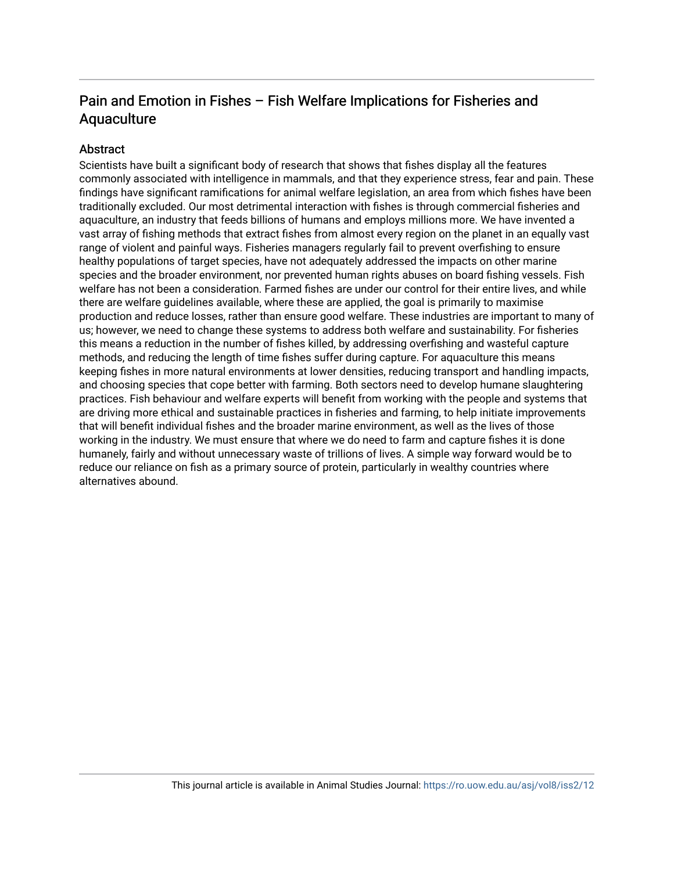## Pain and Emotion in Fishes – Fish Welfare Implications for Fisheries and Aquaculture

## **Abstract**

Scientists have built a significant body of research that shows that fishes display all the features commonly associated with intelligence in mammals, and that they experience stress, fear and pain. These findings have significant ramifications for animal welfare legislation, an area from which fishes have been traditionally excluded. Our most detrimental interaction with fishes is through commercial fisheries and aquaculture, an industry that feeds billions of humans and employs millions more. We have invented a vast array of fishing methods that extract fishes from almost every region on the planet in an equally vast range of violent and painful ways. Fisheries managers regularly fail to prevent overfishing to ensure healthy populations of target species, have not adequately addressed the impacts on other marine species and the broader environment, nor prevented human rights abuses on board fishing vessels. Fish welfare has not been a consideration. Farmed fishes are under our control for their entire lives, and while there are welfare guidelines available, where these are applied, the goal is primarily to maximise production and reduce losses, rather than ensure good welfare. These industries are important to many of us; however, we need to change these systems to address both welfare and sustainability. For fisheries this means a reduction in the number of fishes killed, by addressing overfishing and wasteful capture methods, and reducing the length of time fishes suffer during capture. For aquaculture this means keeping fishes in more natural environments at lower densities, reducing transport and handling impacts, and choosing species that cope better with farming. Both sectors need to develop humane slaughtering practices. Fish behaviour and welfare experts will benefit from working with the people and systems that are driving more ethical and sustainable practices in fisheries and farming, to help initiate improvements that will benefit individual fishes and the broader marine environment, as well as the lives of those working in the industry. We must ensure that where we do need to farm and capture fishes it is done humanely, fairly and without unnecessary waste of trillions of lives. A simple way forward would be to reduce our reliance on fish as a primary source of protein, particularly in wealthy countries where alternatives abound.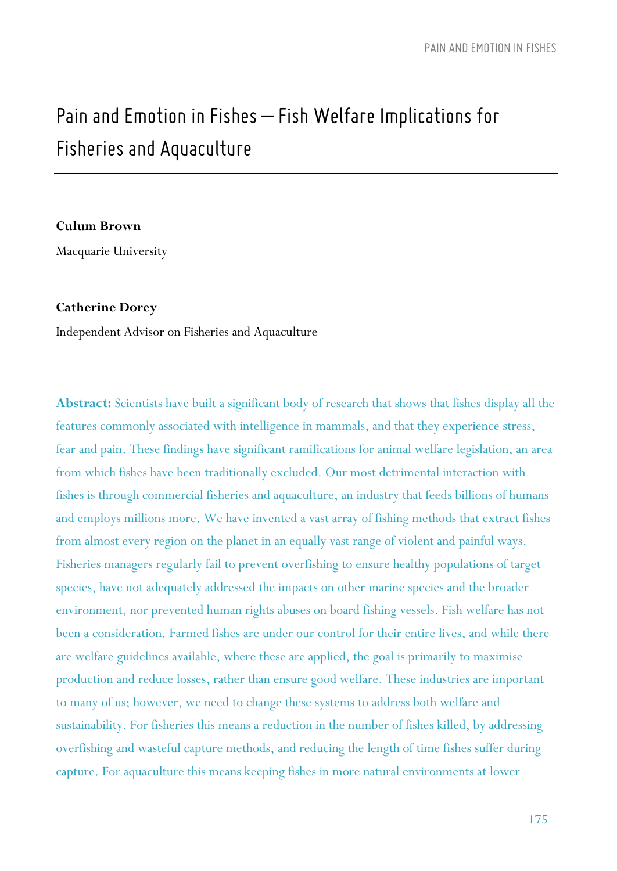# *Painand EmotioninFishes – Fish Welfare Implications for Fisheries and Aquaculture*

#### **Culum Brown**

Macquarie University

#### **Catherine Dorey**

Independent Advisor on Fisheries and Aquaculture

**Abstract:** Scientists have built a significant body of research that shows that fishes display all the features commonly associated with intelligence in mammals, and that they experience stress, fear and pain. These findings have significant ramifications for animal welfare legislation, an area from which fishes have been traditionally excluded. Our most detrimental interaction with fishes is through commercial fisheries and aquaculture, an industry that feeds billions of humans and employs millions more. We have invented a vast array of fishing methods that extract fishes from almost every region on the planet in an equally vast range of violent and painful ways. Fisheries managers regularly fail to prevent overfishing to ensure healthy populations of target species, have not adequately addressed the impacts on other marine species and the broader environment, nor prevented human rights abuses on board fishing vessels. Fish welfare has not been a consideration. Farmed fishes are under our control for their entire lives, and while there are welfare guidelines available, where these are applied, the goal is primarily to maximise production and reduce losses, rather than ensure good welfare. These industries are important to many of us; however, we need to change these systems to address both welfare and sustainability. For fisheries this means a reduction in the number of fishes killed, by addressing overfishing and wasteful capture methods, and reducing the length of time fishes suffer during capture. For aquaculture this means keeping fishes in more natural environments at lower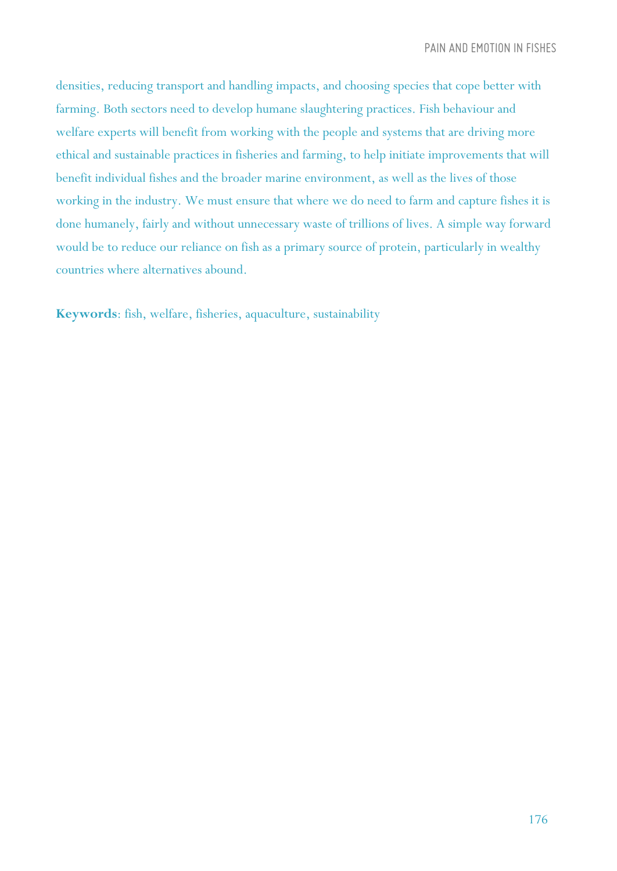densities, reducing transport and handling impacts, and choosing species that cope better with farming. Both sectors need to develop humane slaughtering practices. Fish behaviour and welfare experts will benefit from working with the people and systems that are driving more ethical and sustainable practices in fisheries and farming, to help initiate improvements that will benefit individual fishes and the broader marine environment, as well as the lives of those working in the industry. We must ensure that where we do need to farm and capture fishes it is done humanely, fairly and without unnecessary waste of trillions of lives. A simple way forward would be to reduce our reliance on fish as a primary source of protein, particularly in wealthy countries where alternatives abound.

**Keywords**: fish, welfare, fisheries, aquaculture, sustainability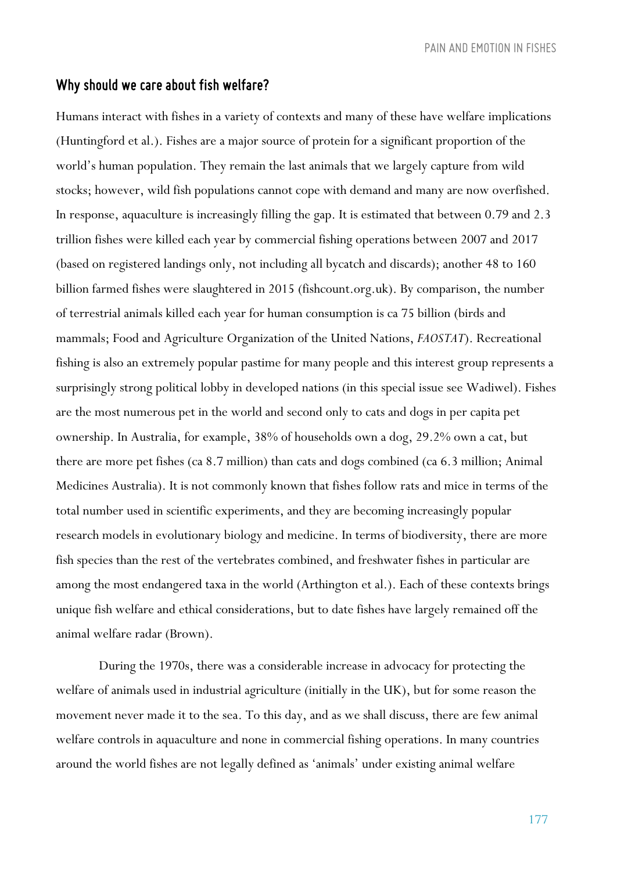## *Why should we care about fish welfare?*

Humans interact with fishes in a variety of contexts and many of these have welfare implications (Huntingford et al.). Fishes are a major source of protein for a significant proportion of the world's human population. They remain the last animals that we largely capture from wild stocks; however, wild fish populations cannot cope with demand and many are now overfished. In response, aquaculture is increasingly filling the gap. It is estimated that between 0.79 and 2.3 trillion fishes were killed each year by commercial fishing operations between 2007 and 2017 (based on registered landings only, not including all bycatch and discards); another 48 to 160 billion farmed fishes were slaughtered in 2015 (fishcount.org.uk). By comparison, the number of terrestrial animals killed each year for human consumption is ca 75 billion (birds and mammals; Food and Agriculture Organization of the United Nations, *FAOSTAT*). Recreational fishing is also an extremely popular pastime for many people and this interest group represents a surprisingly strong political lobby in developed nations (in this special issue see Wadiwel). Fishes are the most numerous pet in the world and second only to cats and dogs in per capita pet ownership. In Australia, for example, 38% of households own a dog, 29.2% own a cat, but there are more pet fishes (ca 8.7 million) than cats and dogs combined (ca 6.3 million; Animal Medicines Australia). It is not commonly known that fishes follow rats and mice in terms of the total number used in scientific experiments, and they are becoming increasingly popular research models in evolutionary biology and medicine. In terms of biodiversity, there are more fish species than the rest of the vertebrates combined, and freshwater fishes in particular are among the most endangered taxa in the world (Arthington et al.). Each of these contexts brings unique fish welfare and ethical considerations, but to date fishes have largely remained off the animal welfare radar (Brown).

During the 1970s, there was a considerable increase in advocacy for protecting the welfare of animals used in industrial agriculture (initially in the UK), but for some reason the movement never made it to the sea. To this day, and as we shall discuss, there are few animal welfare controls in aquaculture and none in commercial fishing operations. In many countries around the world fishes are not legally defined as 'animals' under existing animal welfare

177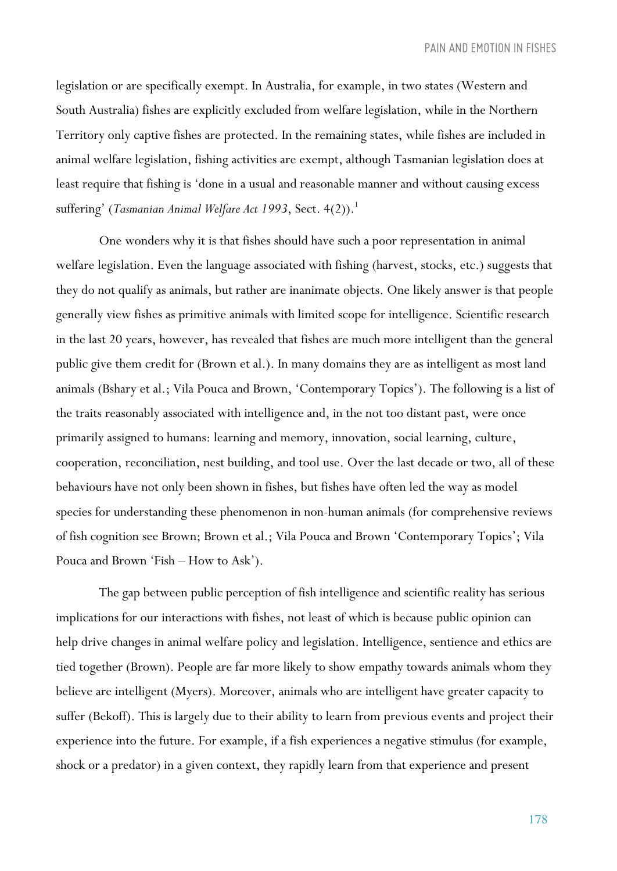legislation or are specifically exempt. In Australia, for example, in two states (Western and South Australia) fishes are explicitly excluded from welfare legislation, while in the Northern Territory only captive fishes are protected. In the remaining states, while fishes are included in animal welfare legislation, fishing activities are exempt, although Tasmanian legislation does at least require that fishing is 'done in a usual and reasonable manner and without causing excess suffering' (*Tasmanian Animal Welfare Act 1993*, Sect. 4(2)).<sup>1</sup>

One wonders why it is that fishes should have such a poor representation in animal welfare legislation. Even the language associated with fishing (harvest, stocks, etc.) suggests that they do not qualify as animals, but rather are inanimate objects. One likely answer is that people generally view fishes as primitive animals with limited scope for intelligence. Scientific research in the last 20 years, however, has revealed that fishes are much more intelligent than the general public give them credit for (Brown et al.). In many domains they are as intelligent as most land animals (Bshary et al.; Vila Pouca and Brown, 'Contemporary Topics'). The following is a list of the traits reasonably associated with intelligence and, in the not too distant past, were once primarily assigned to humans: learning and memory, innovation, social learning, culture, cooperation, reconciliation, nest building, and tool use. Over the last decade or two, all of these behaviours have not only been shown in fishes, but fishes have often led the way as model species for understanding these phenomenon in non-human animals (for comprehensive reviews of fish cognition see Brown; Brown et al.; Vila Pouca and Brown 'Contemporary Topics'; Vila Pouca and Brown 'Fish – How to Ask').

The gap between public perception of fish intelligence and scientific reality has serious implications for our interactions with fishes, not least of which is because public opinion can help drive changes in animal welfare policy and legislation. Intelligence, sentience and ethics are tied together (Brown). People are far more likely to show empathy towards animals whom they believe are intelligent (Myers). Moreover, animals who are intelligent have greater capacity to suffer (Bekoff). This is largely due to their ability to learn from previous events and project their experience into the future. For example, if a fish experiences a negative stimulus (for example, shock or a predator) in a given context, they rapidly learn from that experience and present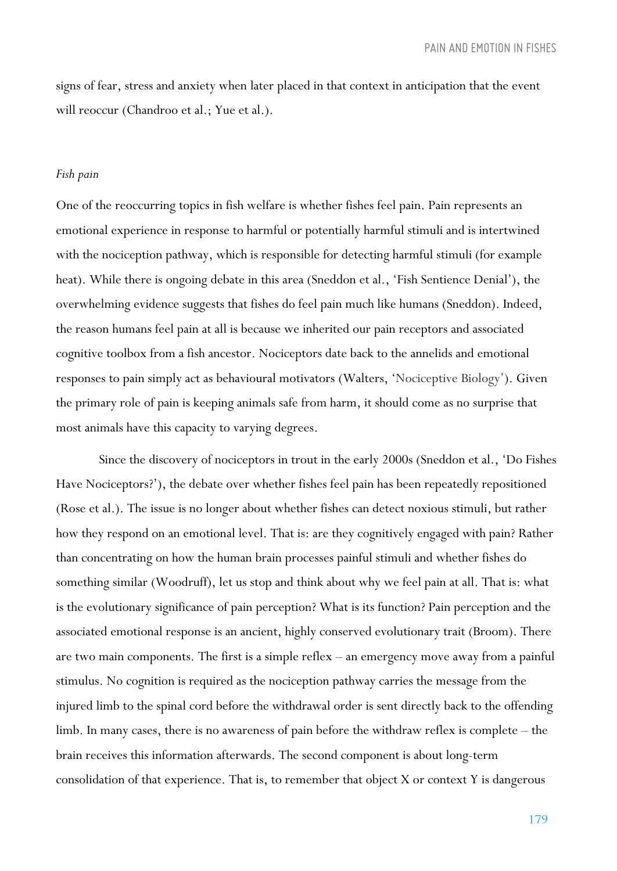signs of fear, stress and anxiety when later placed in that context in anticipation that the event will reoccur (Chandroo et al.; Yue et al.).

#### *Fish pain*

One of the reoccurring topics in fish welfare is whether fishes feel pain. Pain represents an emotional experience in response to harmful or potentially harmful stimuli and is intertwined with the nociception pathway, which is responsible for detecting harmful stimuli (for example heat). While there is ongoing debate in this area (Sneddon et al., 'Fish Sentience Denial'), the overwhelming evidence suggests that fishes do feel pain much like humans (Sneddon). Indeed, the reason humans feel pain at all is because we inherited our pain receptors and associated cognitive toolbox from a fish ancestor. Nociceptors date back to the annelids and emotional responses to pain simply act as behavioural motivators (Walters, 'Nociceptive Biology'). Given the primary role of pain is keeping animals safe from harm, it should come as no surprise that most animals have this capacity to varying degrees.

Since the discovery of nociceptors in trout in the early 2000s (Sneddon et al., 'Do Fishes Have Nociceptors?'), the debate over whether fishes feel pain has been repeatedly repositioned (Rose et al.). The issue is no longer about whether fishes can detect noxious stimuli, but rather how they respond on an emotional level. That is: are they cognitively engaged with pain? Rather than concentrating on how the human brain processes painful stimuli and whether fishes do something similar (Woodruff), let us stop and think about why we feel pain at all. That is: what is the evolutionary significance of pain perception? What is its function? Pain perception and the associated emotional response is an ancient, highly conserved evolutionary trait (Broom). There are two main components. The first is a simple reflex – an emergency move away from a painful stimulus. No cognition is required as the nociception pathway carries the message from the injured limb to the spinal cord before the withdrawal order is sent directly back to the offending limb. In many cases, there is no awareness of pain before the withdraw reflex is complete – the brain receives this information afterwards. The second component is about long-term consolidation of that experience. That is, to remember that object X or context Y is dangerous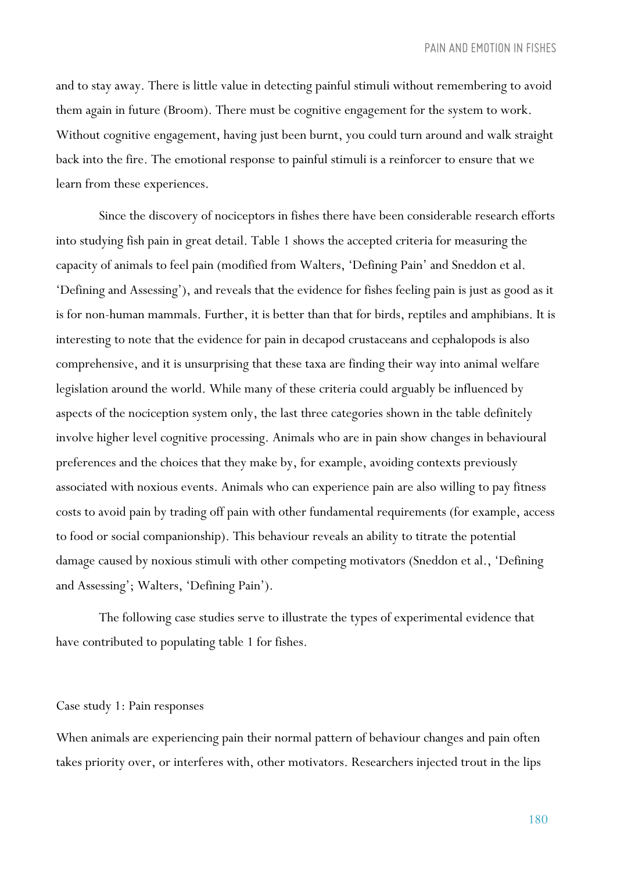and to stay away. There is little value in detecting painful stimuli without remembering to avoid them again in future (Broom). There must be cognitive engagement for the system to work. Without cognitive engagement, having just been burnt, you could turn around and walk straight back into the fire. The emotional response to painful stimuli is a reinforcer to ensure that we learn from these experiences.

Since the discovery of nociceptors in fishes there have been considerable research efforts into studying fish pain in great detail. Table 1 shows the accepted criteria for measuring the capacity of animals to feel pain (modified from Walters, 'Defining Pain' and Sneddon et al. 'Defining and Assessing'), and reveals that the evidence for fishes feeling pain is just as good as it is for non-human mammals. Further, it is better than that for birds, reptiles and amphibians. It is interesting to note that the evidence for pain in decapod crustaceans and cephalopods is also comprehensive, and it is unsurprising that these taxa are finding their way into animal welfare legislation around the world. While many of these criteria could arguably be influenced by aspects of the nociception system only, the last three categories shown in the table definitely involve higher level cognitive processing. Animals who are in pain show changes in behavioural preferences and the choices that they make by, for example, avoiding contexts previously associated with noxious events. Animals who can experience pain are also willing to pay fitness costs to avoid pain by trading off pain with other fundamental requirements (for example, access to food or social companionship). This behaviour reveals an ability to titrate the potential damage caused by noxious stimuli with other competing motivators (Sneddon et al., 'Defining and Assessing'; Walters, 'Defining Pain').

The following case studies serve to illustrate the types of experimental evidence that have contributed to populating table 1 for fishes.

#### Case study 1: Pain responses

When animals are experiencing pain their normal pattern of behaviour changes and pain often takes priority over, or interferes with, other motivators. Researchers injected trout in the lips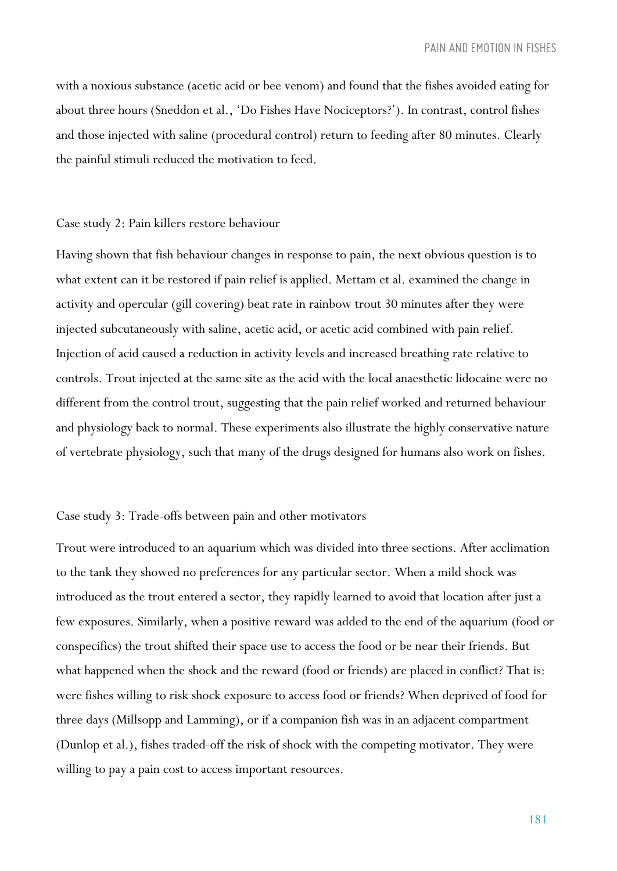with a noxious substance (acetic acid or bee venom) and found that the fishes avoided eating for about three hours (Sneddon et al., 'Do Fishes Have Nociceptors?'). In contrast, control fishes and those injected with saline (procedural control) return to feeding after 80 minutes. Clearly the painful stimuli reduced the motivation to feed.

#### Case study 2: Pain killers restore behaviour

Having shown that fish behaviour changes in response to pain, the next obvious question is to what extent can it be restored if pain relief is applied. Mettam et al. examined the change in activity and opercular (gill covering) beat rate in rainbow trout 30 minutes after they were injected subcutaneously with saline, acetic acid, or acetic acid combined with pain relief. Injection of acid caused a reduction in activity levels and increased breathing rate relative to controls. Trout injected at the same site as the acid with the local anaesthetic lidocaine were no different from the control trout, suggesting that the pain relief worked and returned behaviour and physiology back to normal. These experiments also illustrate the highly conservative nature of vertebrate physiology, such that many of the drugs designed for humans also work on fishes.

#### Case study 3: Trade-offs between pain and other motivators

Trout were introduced to an aquarium which was divided into three sections. After acclimation to the tank they showed no preferences for any particular sector. When a mild shock was introduced as the trout entered a sector, they rapidly learned to avoid that location after just a few exposures. Similarly, when a positive reward was added to the end of the aquarium (food or conspecifics) the trout shifted their space use to access the food or be near their friends. But what happened when the shock and the reward (food or friends) are placed in conflict? That is: were fishes willing to risk shock exposure to access food or friends? When deprived of food for three days (Millsopp and Lamming), or if a companion fish was in an adjacent compartment (Dunlop et al.), fishes traded-off the risk of shock with the competing motivator. They were willing to pay a pain cost to access important resources.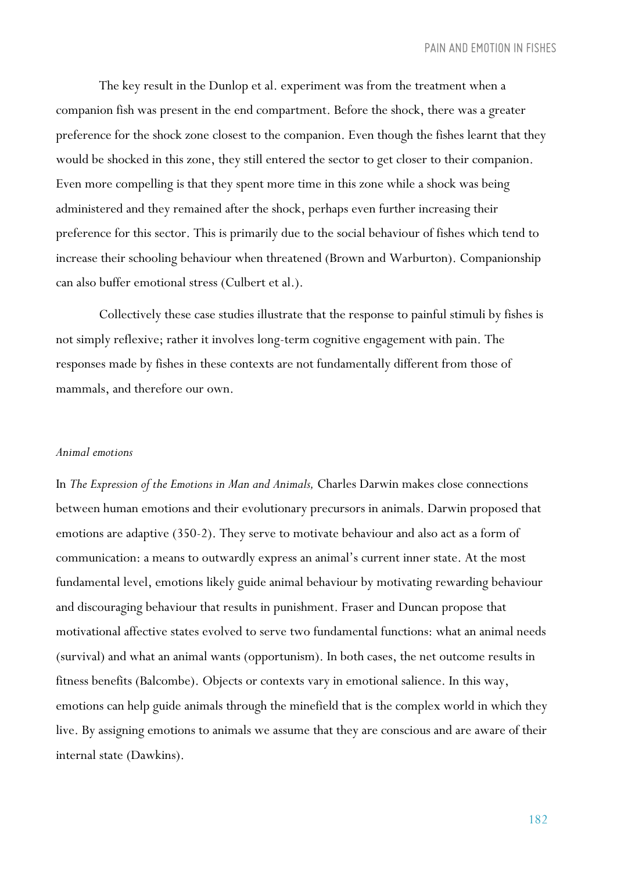The key result in the Dunlop et al. experiment was from the treatment when a companion fish was present in the end compartment. Before the shock, there was a greater preference for the shock zone closest to the companion. Even though the fishes learnt that they would be shocked in this zone, they still entered the sector to get closer to their companion. Even more compelling is that they spent more time in this zone while a shock was being administered and they remained after the shock, perhaps even further increasing their preference for this sector. This is primarily due to the social behaviour of fishes which tend to increase their schooling behaviour when threatened (Brown and Warburton). Companionship can also buffer emotional stress (Culbert et al.).

Collectively these case studies illustrate that the response to painful stimuli by fishes is not simply reflexive; rather it involves long-term cognitive engagement with pain. The responses made by fishes in these contexts are not fundamentally different from those of mammals, and therefore our own.

#### *Animal emotions*

In *The Expression of the Emotions in Man and Animals,* Charles Darwin makes close connections between human emotions and their evolutionary precursors in animals. Darwin proposed that emotions are adaptive (350-2). They serve to motivate behaviour and also act as a form of communication: a means to outwardly express an animal's current inner state. At the most fundamental level, emotions likely guide animal behaviour by motivating rewarding behaviour and discouraging behaviour that results in punishment. Fraser and Duncan propose that motivational affective states evolved to serve two fundamental functions: what an animal needs (survival) and what an animal wants (opportunism). In both cases, the net outcome results in fitness benefits (Balcombe). Objects or contexts vary in emotional salience. In this way, emotions can help guide animals through the minefield that is the complex world in which they live. By assigning emotions to animals we assume that they are conscious and are aware of their internal state (Dawkins).

182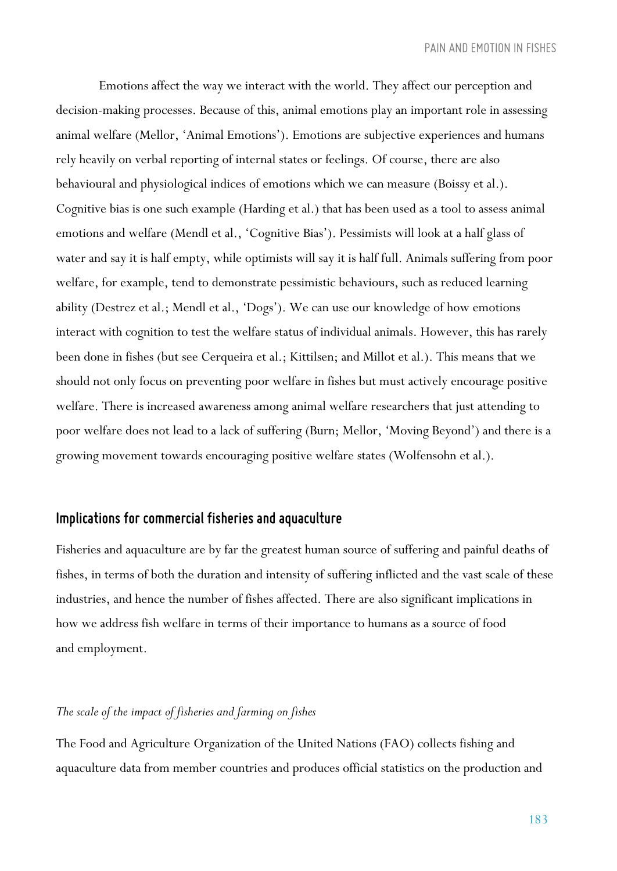Emotions affect the way we interact with the world. They affect our perception and decision-making processes. Because of this, animal emotions play an important role in assessing animal welfare (Mellor, 'Animal Emotions'). Emotions are subjective experiences and humans rely heavily on verbal reporting of internal states or feelings. Of course, there are also behavioural and physiological indices of emotions which we can measure (Boissy et al.). Cognitive bias is one such example (Harding et al.) that has been used as a tool to assess animal emotions and welfare (Mendl et al., 'Cognitive Bias'). Pessimists will look at a half glass of water and say it is half empty, while optimists will say it is half full. Animals suffering from poor welfare, for example, tend to demonstrate pessimistic behaviours, such as reduced learning ability (Destrez et al.; Mendl et al., 'Dogs'). We can use our knowledge of how emotions interact with cognition to test the welfare status of individual animals. However, this has rarely been done in fishes (but see Cerqueira et al.; Kittilsen; and Millot et al.). This means that we should not only focus on preventing poor welfare in fishes but must actively encourage positive welfare. There is increased awareness among animal welfare researchers that just attending to poor welfare does not lead to a lack of suffering (Burn; Mellor, 'Moving Beyond') and there is a growing movement towards encouraging positive welfare states (Wolfensohn et al.).

## *Implications for commercial fisheries and aquaculture*

Fisheries and aquaculture are by far the greatest human source of suffering and painful deaths of fishes, in terms of both the duration and intensity of suffering inflicted and the vast scale of these industries, and hence the number of fishes affected. There are also significant implications in how we address fish welfare in terms of their importance to humans as a source of food and employment.

### *The scale of the impact of fisheries and farming on fishes*

The Food and Agriculture Organization of the United Nations (FAO) collects fishing and aquaculture data from member countries and produces official statistics on the production and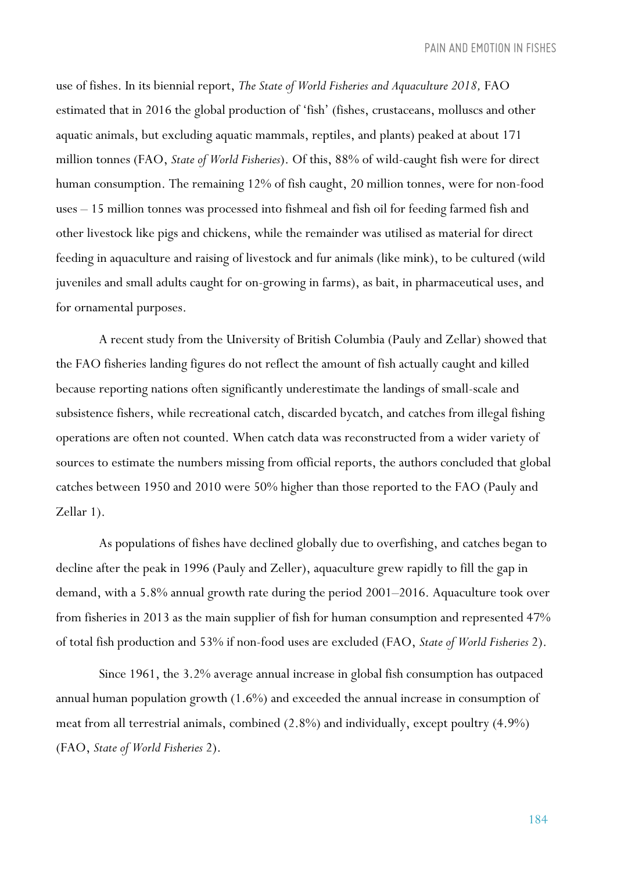use of fishes. In its biennial report, *The State of World Fisheries and Aquaculture 2018,* FAO estimated that in 2016 the global production of 'fish' (fishes, crustaceans, molluscs and other aquatic animals, but excluding aquatic mammals, reptiles, and plants) peaked at about 171 million tonnes (FAO, *State of World Fisheries*). Of this, 88% of wild-caught fish were for direct human consumption. The remaining 12% of fish caught, 20 million tonnes, were for non-food uses – 15 million tonnes was processed into fishmeal and fish oil for feeding farmed fish and other livestock like pigs and chickens, while the remainder was utilised as material for direct feeding in aquaculture and raising of livestock and fur animals (like mink), to be cultured (wild juveniles and small adults caught for on-growing in farms), as bait, in pharmaceutical uses, and for ornamental purposes.

A recent study from the University of British Columbia (Pauly and Zellar) showed that the FAO fisheries landing figures do not reflect the amount of fish actually caught and killed because reporting nations often significantly underestimate the landings of small-scale and subsistence fishers, while recreational catch, discarded bycatch, and catches from illegal fishing operations are often not counted. When catch data was reconstructed from a wider variety of sources to estimate the numbers missing from official reports, the authors concluded that global catches between 1950 and 2010 were 50% higher than those reported to the FAO (Pauly and Zellar 1).

As populations of fishes have declined globally due to overfishing, and catches began to decline after the peak in 1996 (Pauly and Zeller), aquaculture grew rapidly to fill the gap in demand, with a 5.8% annual growth rate during the period 2001–2016. Aquaculture took over from fisheries in 2013 as the main supplier of fish for human consumption and represented 47% of total fish production and 53% if non-food uses are excluded (FAO, *State of World Fisheries* 2).

Since 1961, the 3.2% average annual increase in global fish consumption has outpaced annual human population growth (1.6%) and exceeded the annual increase in consumption of meat from all terrestrial animals, combined (2.8%) and individually, except poultry (4.9%) (FAO, *State of World Fisheries* 2).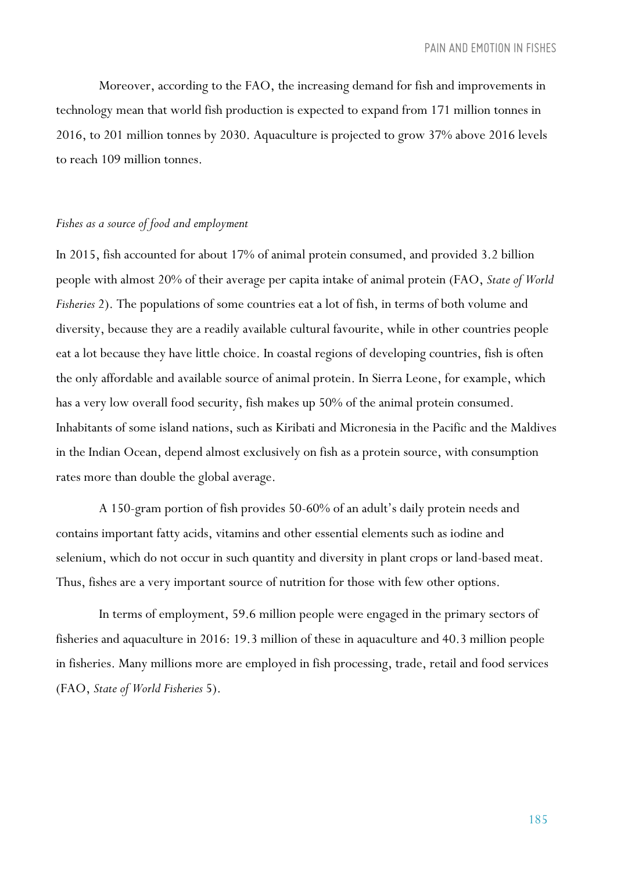Moreover, according to the FAO, the increasing demand for fish and improvements in technology mean that world fish production is expected to expand from 171 million tonnes in 2016, to 201 million tonnes by 2030. Aquaculture is projected to grow 37% above 2016 levels to reach 109 million tonnes.

#### *Fishes as a source of food and employment*

In 2015, fish accounted for about 17% of animal protein consumed, and provided 3.2 billion people with almost 20% of their average per capita intake of animal protein (FAO, *State of World Fisheries* 2). The populations of some countries eat a lot of fish, in terms of both volume and diversity, because they are a readily available cultural favourite, while in other countries people eat a lot because they have little choice. In coastal regions of developing countries, fish is often the only affordable and available source of animal protein. In Sierra Leone, for example, which has a very low overall food security, fish makes up 50% of the animal protein consumed. Inhabitants of some island nations, such as Kiribati and Micronesia in the Pacific and the Maldives in the Indian Ocean, depend almost exclusively on fish as a protein source, with consumption rates more than double the global average.

A 150-gram portion of fish provides 50-60% of an adult's daily protein needs and contains important fatty acids, vitamins and other essential elements such as iodine and selenium, which do not occur in such quantity and diversity in plant crops or land-based meat. Thus, fishes are a very important source of nutrition for those with few other options.

In terms of employment, 59.6 million people were engaged in the primary sectors of fisheries and aquaculture in 2016: 19.3 million of these in aquaculture and 40.3 million people in fisheries. Many millions more are employed in fish processing, trade, retail and food services (FAO, *State of World Fisheries* 5).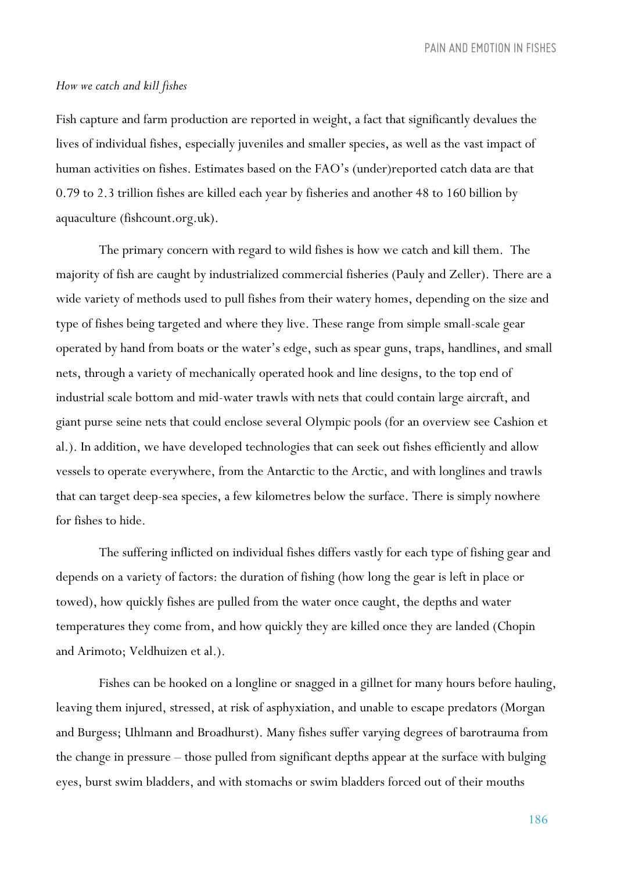*PAIN AND EMOTION IN FISHES*

#### *How we catch and kill fishes*

Fish capture and farm production are reported in weight, a fact that significantly devalues the lives of individual fishes, especially juveniles and smaller species, as well as the vast impact of human activities on fishes. Estimates based on the FAO's (under)reported catch data are that 0.79 to 2.3 trillion fishes are killed each year by fisheries and another 48 to 160 billion by aquaculture (fishcount.org.uk).

The primary concern with regard to wild fishes is how we catch and kill them. The majority of fish are caught by industrialized commercial fisheries (Pauly and Zeller). There are a wide variety of methods used to pull fishes from their watery homes, depending on the size and type of fishes being targeted and where they live. These range from simple small-scale gear operated by hand from boats or the water's edge, such as spear guns, traps, handlines, and small nets, through a variety of mechanically operated hook and line designs, to the top end of industrial scale bottom and mid-water trawls with nets that could contain large aircraft, and giant purse seine nets that could enclose several Olympic pools (for an overview see Cashion et al.). In addition, we have developed technologies that can seek out fishes efficiently and allow vessels to operate everywhere, from the Antarctic to the Arctic, and with longlines and trawls that can target deep-sea species, a few kilometres below the surface. There is simply nowhere for fishes to hide.

The suffering inflicted on individual fishes differs vastly for each type of fishing gear and depends on a variety of factors: the duration of fishing (how long the gear is left in place or towed), how quickly fishes are pulled from the water once caught, the depths and water temperatures they come from, and how quickly they are killed once they are landed (Chopin and Arimoto; Veldhuizen et al.).

Fishes can be hooked on a longline or snagged in a gillnet for many hours before hauling, leaving them injured, stressed, at risk of asphyxiation, and unable to escape predators (Morgan and Burgess; Uhlmann and Broadhurst). Many fishes suffer varying degrees of barotrauma from the change in pressure – those pulled from significant depths appear at the surface with bulging eyes, burst swim bladders, and with stomachs or swim bladders forced out of their mouths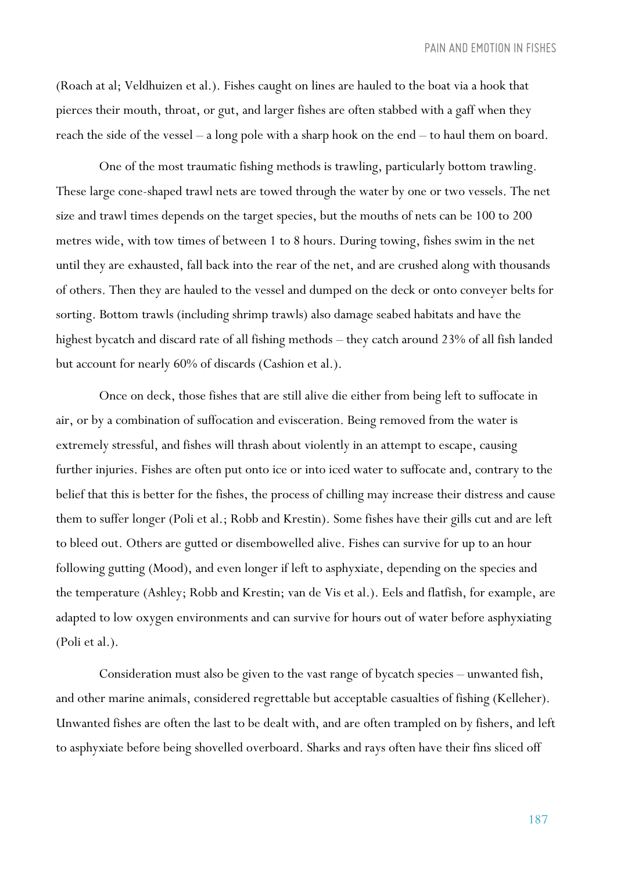(Roach at al; Veldhuizen et al.). Fishes caught on lines are hauled to the boat via a hook that pierces their mouth, throat, or gut, and larger fishes are often stabbed with a gaff when they reach the side of the vessel – a long pole with a sharp hook on the end – to haul them on board.

One of the most traumatic fishing methods is trawling, particularly bottom trawling. These large cone-shaped trawl nets are towed through the water by one or two vessels. The net size and trawl times depends on the target species, but the mouths of nets can be 100 to 200 metres wide, with tow times of between 1 to 8 hours. During towing, fishes swim in the net until they are exhausted, fall back into the rear of the net, and are crushed along with thousands of others. Then they are hauled to the vessel and dumped on the deck or onto conveyer belts for sorting. Bottom trawls (including shrimp trawls) also damage seabed habitats and have the highest bycatch and discard rate of all fishing methods – they catch around 23% of all fish landed but account for nearly 60% of discards (Cashion et al.).

Once on deck, those fishes that are still alive die either from being left to suffocate in air, or by a combination of suffocation and evisceration. Being removed from the water is extremely stressful, and fishes will thrash about violently in an attempt to escape, causing further injuries. Fishes are often put onto ice or into iced water to suffocate and, contrary to the belief that this is better for the fishes, the process of chilling may increase their distress and cause them to suffer longer (Poli et al.; Robb and Krestin). Some fishes have their gills cut and are left to bleed out. Others are gutted or disembowelled alive. Fishes can survive for up to an hour following gutting (Mood), and even longer if left to asphyxiate, depending on the species and the temperature (Ashley; Robb and Krestin; van de Vis et al.). Eels and flatfish, for example, are adapted to low oxygen environments and can survive for hours out of water before asphyxiating (Poli et al.).

Consideration must also be given to the vast range of bycatch species – unwanted fish, and other marine animals, considered regrettable but acceptable casualties of fishing (Kelleher). Unwanted fishes are often the last to be dealt with, and are often trampled on by fishers, and left to asphyxiate before being shovelled overboard. Sharks and rays often have their fins sliced off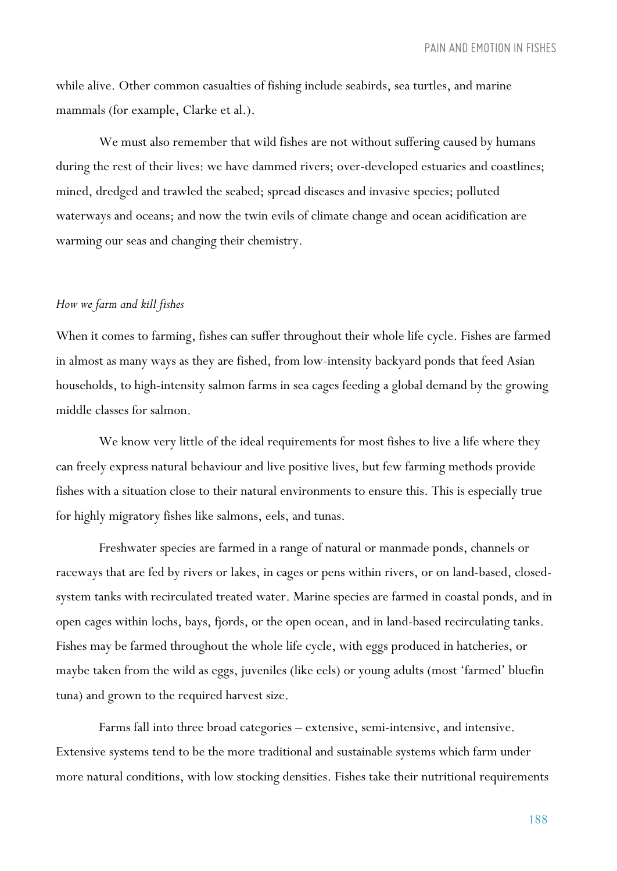while alive. Other common casualties of fishing include seabirds, sea turtles, and marine mammals (for example, Clarke et al.).

We must also remember that wild fishes are not without suffering caused by humans during the rest of their lives: we have dammed rivers; over-developed estuaries and coastlines; mined, dredged and trawled the seabed; spread diseases and invasive species; polluted waterways and oceans; and now the twin evils of climate change and ocean acidification are warming our seas and changing their chemistry.

#### *How we farm and kill fishes*

When it comes to farming, fishes can suffer throughout their whole life cycle. Fishes are farmed in almost as many ways as they are fished, from low-intensity backyard ponds that feed Asian households, to high-intensity salmon farms in sea cages feeding a global demand by the growing middle classes for salmon.

We know very little of the ideal requirements for most fishes to live a life where they can freely express natural behaviour and live positive lives, but few farming methods provide fishes with a situation close to their natural environments to ensure this. This is especially true for highly migratory fishes like salmons, eels, and tunas.

Freshwater species are farmed in a range of natural or manmade ponds, channels or raceways that are fed by rivers or lakes, in cages or pens within rivers, or on land-based, closedsystem tanks with recirculated treated water. Marine species are farmed in coastal ponds, and in open cages within lochs, bays, fjords, or the open ocean, and in land-based recirculating tanks. Fishes may be farmed throughout the whole life cycle, with eggs produced in hatcheries, or maybe taken from the wild as eggs, juveniles (like eels) or young adults (most 'farmed' bluefin tuna) and grown to the required harvest size.

Farms fall into three broad categories – extensive, semi-intensive, and intensive. Extensive systems tend to be the more traditional and sustainable systems which farm under more natural conditions, with low stocking densities. Fishes take their nutritional requirements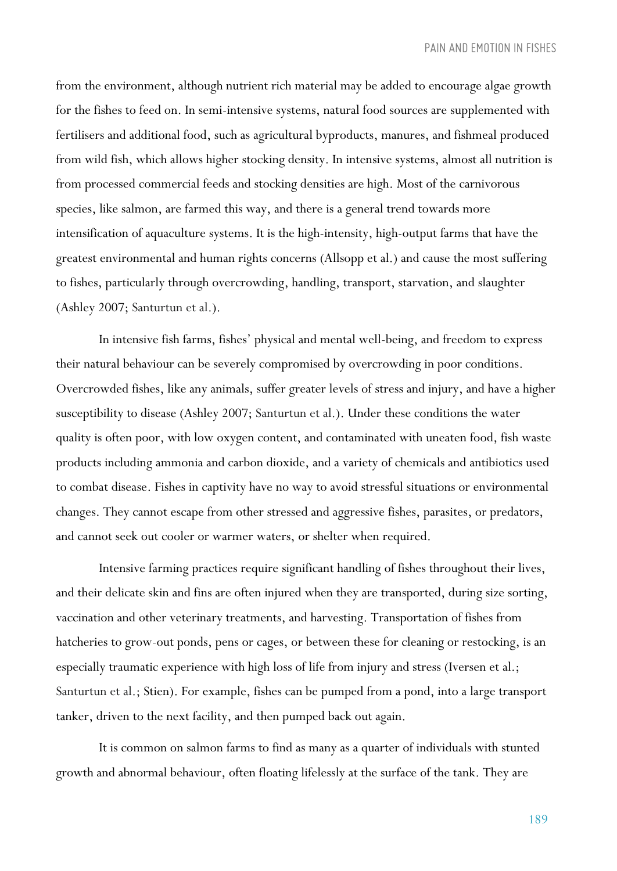from the environment, although nutrient rich material may be added to encourage algae growth for the fishes to feed on. In semi-intensive systems, natural food sources are supplemented with fertilisers and additional food, such as agricultural byproducts, manures, and fishmeal produced from wild fish, which allows higher stocking density. In intensive systems, almost all nutrition is from processed commercial feeds and stocking densities are high. Most of the carnivorous species, like salmon, are farmed this way, and there is a general trend towards more intensification of aquaculture systems. It is the high-intensity, high-output farms that have the greatest environmental and human rights concerns (Allsopp et al.) and cause the most suffering to fishes, particularly through overcrowding, handling, transport, starvation, and slaughter (Ashley 2007; Santurtun et al.).

In intensive fish farms, fishes' physical and mental well-being, and freedom to express their natural behaviour can be severely compromised by overcrowding in poor conditions. Overcrowded fishes, like any animals, suffer greater levels of stress and injury, and have a higher susceptibility to disease (Ashley 2007; Santurtun et al.). Under these conditions the water quality is often poor, with low oxygen content, and contaminated with uneaten food, fish waste products including ammonia and carbon dioxide, and a variety of chemicals and antibiotics used to combat disease. Fishes in captivity have no way to avoid stressful situations or environmental changes. They cannot escape from other stressed and aggressive fishes, parasites, or predators, and cannot seek out cooler or warmer waters, or shelter when required.

Intensive farming practices require significant handling of fishes throughout their lives, and their delicate skin and fins are often injured when they are transported, during size sorting, vaccination and other veterinary treatments, and harvesting. Transportation of fishes from hatcheries to grow-out ponds, pens or cages, or between these for cleaning or restocking, is an especially traumatic experience with high loss of life from injury and stress (Iversen et al.; Santurtun et al.; Stien). For example, fishes can be pumped from a pond, into a large transport tanker, driven to the next facility, and then pumped back out again.

It is common on salmon farms to find as many as a quarter of individuals with stunted growth and abnormal behaviour, often floating lifelessly at the surface of the tank. They are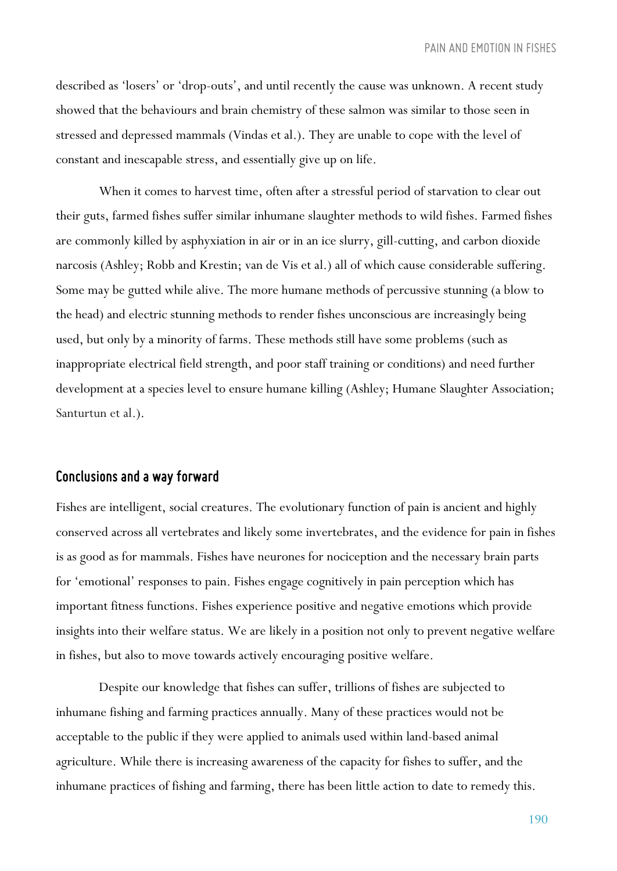described as 'losers' or 'drop-outs', and until recently the cause was unknown. A recent study showed that the behaviours and brain chemistry of these salmon was similar to those seen in stressed and depressed mammals (Vindas et al.). They are unable to cope with the level of constant and inescapable stress, and essentially give up on life.

When it comes to harvest time, often after a stressful period of starvation to clear out their guts, farmed fishes suffer similar inhumane slaughter methods to wild fishes. Farmed fishes are commonly killed by asphyxiation in air or in an ice slurry, gill-cutting, and carbon dioxide narcosis (Ashley; Robb and Krestin; van de Vis et al.) all of which cause considerable suffering. Some may be gutted while alive. The more humane methods of percussive stunning (a blow to the head) and electric stunning methods to render fishes unconscious are increasingly being used, but only by a minority of farms. These methods still have some problems (such as inappropriate electrical field strength, and poor staff training or conditions) and need further development at a species level to ensure humane killing (Ashley; Humane Slaughter Association; Santurtun et al.).

## *Conclusions and a way forward*

Fishes are intelligent, social creatures. The evolutionary function of pain is ancient and highly conserved across all vertebrates and likely some invertebrates, and the evidence for pain in fishes is as good as for mammals. Fishes have neurones for nociception and the necessary brain parts for 'emotional' responses to pain. Fishes engage cognitively in pain perception which has important fitness functions. Fishes experience positive and negative emotions which provide insights into their welfare status. We are likely in a position not only to prevent negative welfare in fishes, but also to move towards actively encouraging positive welfare.

Despite our knowledge that fishes can suffer, trillions of fishes are subjected to inhumane fishing and farming practices annually. Many of these practices would not be acceptable to the public if they were applied to animals used within land-based animal agriculture. While there is increasing awareness of the capacity for fishes to suffer, and the inhumane practices of fishing and farming, there has been little action to date to remedy this.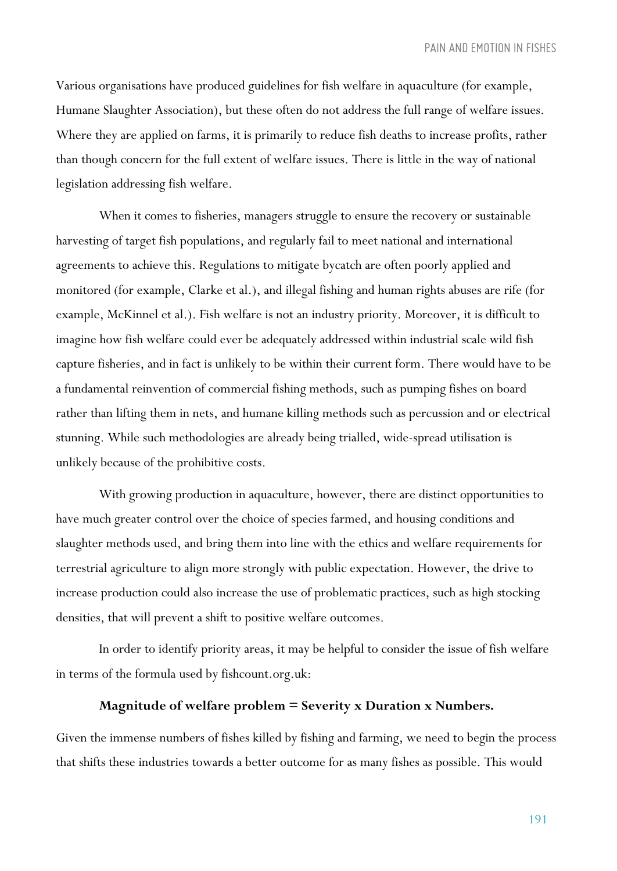Various organisations have produced guidelines for fish welfare in aquaculture (for example, Humane Slaughter Association), but these often do not address the full range of welfare issues. Where they are applied on farms, it is primarily to reduce fish deaths to increase profits, rather than though concern for the full extent of welfare issues. There is little in the way of national legislation addressing fish welfare.

When it comes to fisheries, managers struggle to ensure the recovery or sustainable harvesting of target fish populations, and regularly fail to meet national and international agreements to achieve this. Regulations to mitigate bycatch are often poorly applied and monitored (for example, Clarke et al.), and illegal fishing and human rights abuses are rife (for example, McKinnel et al.). Fish welfare is not an industry priority. Moreover, it is difficult to imagine how fish welfare could ever be adequately addressed within industrial scale wild fish capture fisheries, and in fact is unlikely to be within their current form. There would have to be a fundamental reinvention of commercial fishing methods, such as pumping fishes on board rather than lifting them in nets, and humane killing methods such as percussion and or electrical stunning. While such methodologies are already being trialled, wide-spread utilisation is unlikely because of the prohibitive costs.

With growing production in aquaculture, however, there are distinct opportunities to have much greater control over the choice of species farmed, and housing conditions and slaughter methods used, and bring them into line with the ethics and welfare requirements for terrestrial agriculture to align more strongly with public expectation. However, the drive to increase production could also increase the use of problematic practices, such as high stocking densities, that will prevent a shift to positive welfare outcomes.

In order to identify priority areas, it may be helpful to consider the issue of fish welfare in terms of the formula used by fishcount.org.uk:

#### **Magnitude of welfare problem = Severity x Duration x Numbers.**

Given the immense numbers of fishes killed by fishing and farming, we need to begin the process that shifts these industries towards a better outcome for as many fishes as possible. This would

191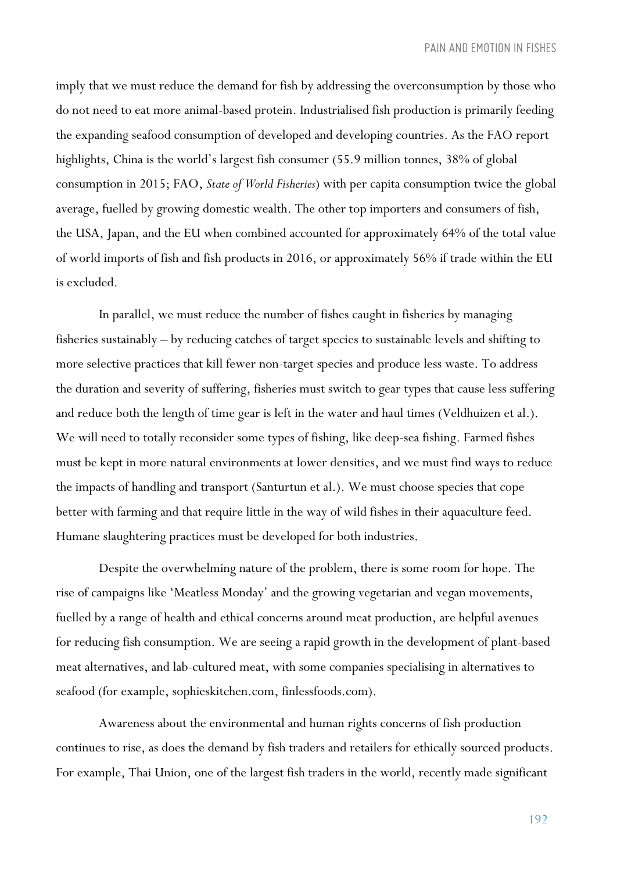imply that we must reduce the demand for fish by addressing the overconsumption by those who do not need to eat more animal-based protein. Industrialised fish production is primarily feeding the expanding seafood consumption of developed and developing countries. As the FAO report highlights, China is the world's largest fish consumer (55.9 million tonnes, 38% of global consumption in 2015; FAO, *State of World Fisheries*) with per capita consumption twice the global average, fuelled by growing domestic wealth. The other top importers and consumers of fish, the USA, Japan, and the EU when combined accounted for approximately 64% of the total value of world imports of fish and fish products in 2016, or approximately 56% if trade within the EU is excluded.

In parallel, we must reduce the number of fishes caught in fisheries by managing fisheries sustainably – by reducing catches of target species to sustainable levels and shifting to more selective practices that kill fewer non-target species and produce less waste. To address the duration and severity of suffering, fisheries must switch to gear types that cause less suffering and reduce both the length of time gear is left in the water and haul times (Veldhuizen et al.). We will need to totally reconsider some types of fishing, like deep-sea fishing. Farmed fishes must be kept in more natural environments at lower densities, and we must find ways to reduce the impacts of handling and transport (Santurtun et al.). We must choose species that cope better with farming and that require little in the way of wild fishes in their aquaculture feed. Humane slaughtering practices must be developed for both industries.

Despite the overwhelming nature of the problem, there is some room for hope. The rise of campaigns like 'Meatless Monday' and the growing vegetarian and vegan movements, fuelled by a range of health and ethical concerns around meat production, are helpful avenues for reducing fish consumption. We are seeing a rapid growth in the development of plant-based meat alternatives, and lab-cultured meat, with some companies specialising in alternatives to seafood (for example, sophieskitchen.com, finlessfoods.com).

Awareness about the environmental and human rights concerns of fish production continues to rise, as does the demand by fish traders and retailers for ethically sourced products. For example, Thai Union, one of the largest fish traders in the world, recently made significant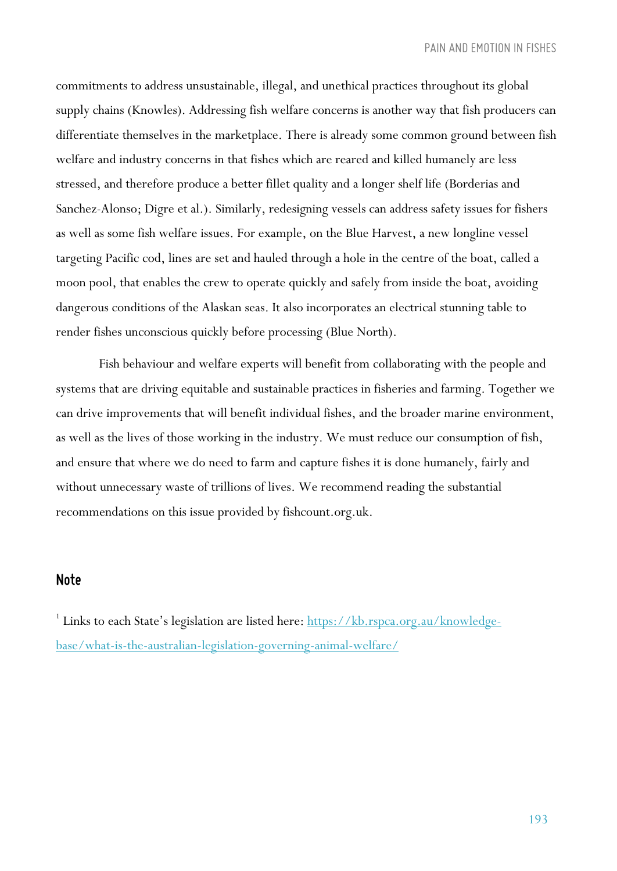commitments to address unsustainable, illegal, and unethical practices throughout its global supply chains (Knowles). Addressing fish welfare concerns is another way that fish producers can differentiate themselves in the marketplace. There is already some common ground between fish welfare and industry concerns in that fishes which are reared and killed humanely are less stressed, and therefore produce a better fillet quality and a longer shelf life (Borderias and Sanchez-Alonso; Digre et al.). Similarly, redesigning vessels can address safety issues for fishers as well as some fish welfare issues. For example, on the Blue Harvest, a new longline vessel targeting Pacific cod, lines are set and hauled through a hole in the centre of the boat, called a moon pool, that enables the crew to operate quickly and safely from inside the boat, avoiding dangerous conditions of the Alaskan seas. It also incorporates an electrical stunning table to render fishes unconscious quickly before processing (Blue North).

Fish behaviour and welfare experts will benefit from collaborating with the people and systems that are driving equitable and sustainable practices in fisheries and farming. Together we can drive improvements that will benefit individual fishes, and the broader marine environment, as well as the lives of those working in the industry. We must reduce our consumption of fish, and ensure that where we do need to farm and capture fishes it is done humanely, fairly and without unnecessary waste of trillions of lives. We recommend reading the substantial recommendations on this issue provided by fishcount.org.uk.

## *Note*

<sup>1</sup> Links to each State's legislation are listed here: https://kb.rspca.org.au/knowledgebase/what-is-the-australian-legislation-governing-animal-welfare/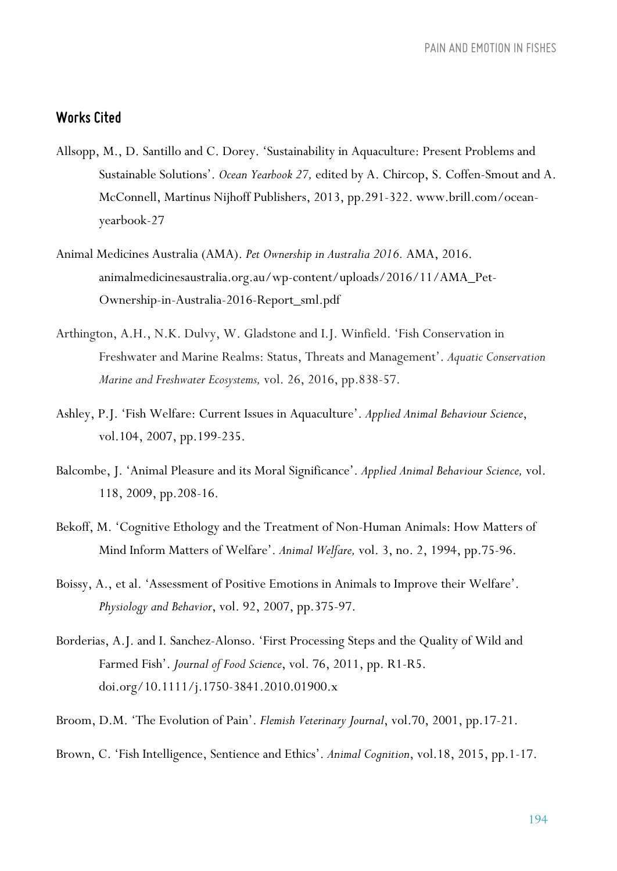## *Works Cited*

- Allsopp, M., D. Santillo and C. Dorey. 'Sustainability in Aquaculture: Present Problems and Sustainable Solutions'. *Ocean Yearbook 27,* edited by A. Chircop, S. Coffen-Smout and A. McConnell, Martinus Nijhoff Publishers, 2013, pp.291-322. www.brill.com/oceanyearbook-27
- Animal Medicines Australia (AMA). *Pet Ownership in Australia 2016.* AMA, 2016. animalmedicinesaustralia.org.au/wp-content/uploads/2016/11/AMA\_Pet-Ownership-in-Australia-2016-Report\_sml.pdf
- Arthington, A.H., N.K. Dulvy, W. Gladstone and I.J. Winfield. 'Fish Conservation in Freshwater and Marine Realms: Status, Threats and Management'. *Aquatic Conservation Marine and Freshwater Ecosystems,* vol. 26, 2016, pp.838-57.
- Ashley, P.J. 'Fish Welfare: Current Issues in Aquaculture'. *Applied Animal Behaviour Science*, vol.104, 2007, pp.199-235.
- Balcombe, J. 'Animal Pleasure and its Moral Significance'. *Applied Animal Behaviour Science,* vol. 118, 2009, pp.208-16.
- Bekoff, M. 'Cognitive Ethology and the Treatment of Non-Human Animals: How Matters of Mind Inform Matters of Welfare'. *Animal Welfare,* vol. 3, no. 2, 1994, pp.75-96.
- Boissy, A., et al. 'Assessment of Positive Emotions in Animals to Improve their Welfare'. *Physiology and Behavior*, vol. 92, 2007, pp.375-97.
- Borderias, A.J. and I. Sanchez-Alonso. 'First Processing Steps and the Quality of Wild and Farmed Fish'. *Journal of Food Science*, vol. 76, 2011, pp. R1-R5. doi.org/10.1111/j.1750-3841.2010.01900.x
- Broom, D.M. 'The Evolution of Pain'. *Flemish Veterinary Journal*, vol.70, 2001, pp.17-21.
- Brown, C. 'Fish Intelligence, Sentience and Ethics'. *Animal Cognition*, vol.18, 2015, pp.1-17.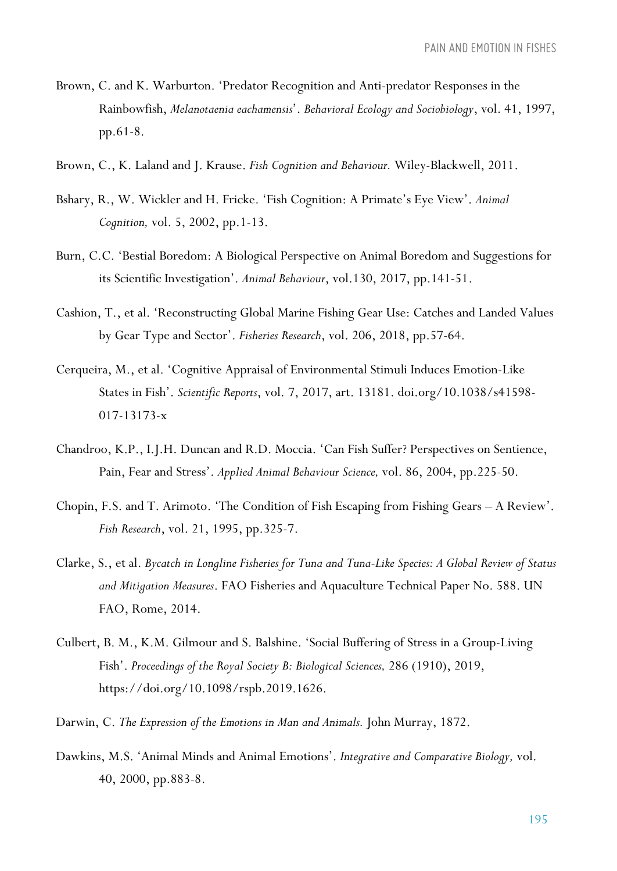- Brown, C. and K. Warburton. 'Predator Recognition and Anti-predator Responses in the Rainbowfish, *Melanotaenia eachamensis*'. *Behavioral Ecology and Sociobiology*, vol. 41, 1997, pp.61-8.
- Brown, C., K. Laland and J. Krause. *Fish Cognition and Behaviour.* Wiley-Blackwell, 2011.
- Bshary, R., W. Wickler and H. Fricke. 'Fish Cognition: A Primate's Eye View'. *Animal Cognition,* vol. 5, 2002, pp.1-13.
- Burn, C.C. 'Bestial Boredom: A Biological Perspective on Animal Boredom and Suggestions for its Scientific Investigation'. *Animal Behaviour*, vol.130, 2017, pp.141-51.
- Cashion, T., et al. 'Reconstructing Global Marine Fishing Gear Use: Catches and Landed Values by Gear Type and Sector'. *Fisheries Research*, vol. 206, 2018, pp.57-64.
- Cerqueira, M., et al. 'Cognitive Appraisal of Environmental Stimuli Induces Emotion-Like States in Fish'. *Scientific Reports*, vol. 7, 2017, art. 13181. doi.org/10.1038/s41598- 017-13173-x
- Chandroo, K.P., I.J.H. Duncan and R.D. Moccia. 'Can Fish Suffer? Perspectives on Sentience, Pain, Fear and Stress'. *Applied Animal Behaviour Science,* vol. 86, 2004, pp.225-50.
- Chopin, F.S. and T. Arimoto. 'The Condition of Fish Escaping from Fishing Gears A Review'. *Fish Research*, vol. 21, 1995, pp.325-7.
- Clarke, S., et al. *Bycatch in Longline Fisheries for Tuna and Tuna-Like Species: A Global Review of Status and Mitigation Measures*. FAO Fisheries and Aquaculture Technical Paper No. 588. UN FAO, Rome, 2014.
- Culbert, B. M., K.M. Gilmour and S. Balshine. 'Social Buffering of Stress in a Group-Living Fish'. *Proceedings of the Royal Society B: Biological Sciences,* 286 (1910), 2019, https://doi.org/10.1098/rspb.2019.1626.
- Darwin, C. *The Expression of the Emotions in Man and Animals.* John Murray, 1872.
- Dawkins, M.S. 'Animal Minds and Animal Emotions'. *Integrative and Comparative Biology,* vol. 40, 2000, pp.883-8.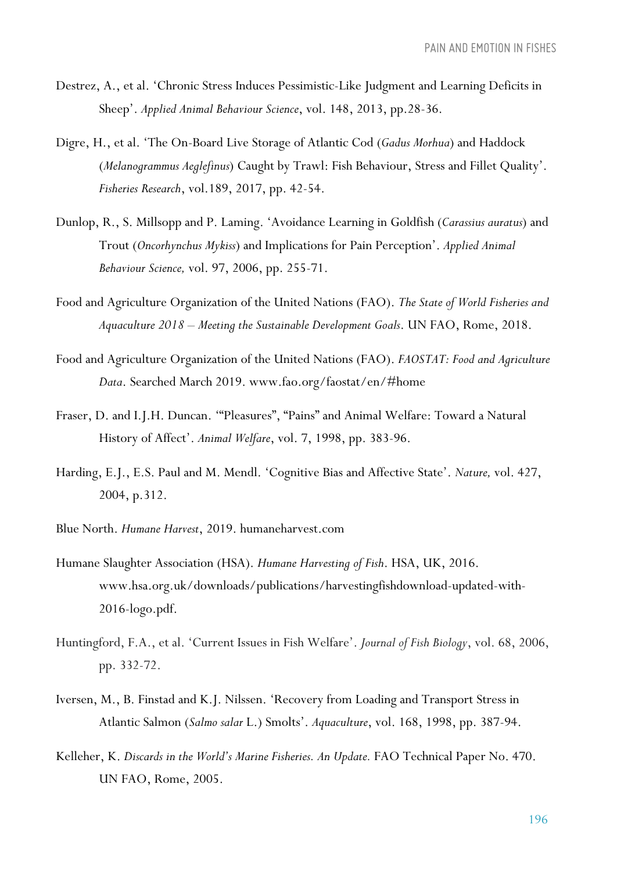- Destrez, A., et al. 'Chronic Stress Induces Pessimistic-Like Judgment and Learning Deficits in Sheep'. *Applied Animal Behaviour Science*, vol. 148, 2013, pp.28-36.
- Digre, H., et al. 'The On-Board Live Storage of Atlantic Cod (*Gadus Morhua*) and Haddock (*Melanogrammus Aeglefinus*) Caught by Trawl: Fish Behaviour, Stress and Fillet Quality'. *Fisheries Research*, vol.189, 2017, pp. 42-54.
- Dunlop, R., S. Millsopp and P. Laming. 'Avoidance Learning in Goldfish (*Carassius auratus*) and Trout (*Oncorhynchus Mykiss*) and Implications for Pain Perception'. *Applied Animal Behaviour Science,* vol. 97, 2006, pp. 255-71.
- Food and Agriculture Organization of the United Nations (FAO). *The State of World Fisheries and Aquaculture 2018 – Meeting the Sustainable Development Goals*. UN FAO, Rome, 2018.
- Food and Agriculture Organization of the United Nations (FAO). *FAOSTAT: Food and Agriculture Data*. Searched March 2019. www.fao.org/faostat/en/#home
- Fraser, D. and I.J.H. Duncan. '"Pleasures", "Pains" and Animal Welfare: Toward a Natural History of Affect'. *Animal Welfare*, vol. 7, 1998, pp. 383-96.
- Harding, E.J., E.S. Paul and M. Mendl. 'Cognitive Bias and Affective State'. *Nature,* vol. 427, 2004, p.312.
- Blue North. *Humane Harvest*, 2019. humaneharvest.com
- Humane Slaughter Association (HSA). *Humane Harvesting of Fish*. HSA, UK, 2016. www.hsa.org.uk/downloads/publications/harvestingfishdownload-updated-with-2016-logo.pdf.
- Huntingford, F.A., et al. 'Current Issues in Fish Welfare'. *Journal of Fish Biology*, vol. 68, 2006, pp. 332-72.
- Iversen, M., B. Finstad and K.J. Nilssen. 'Recovery from Loading and Transport Stress in Atlantic Salmon (*Salmo salar* L.) Smolts'. *Aquaculture*, vol. 168, 1998, pp. 387-94.
- Kelleher, K. *Discards in the World's Marine Fisheries. An Update.* FAO Technical Paper No. 470. UN FAO, Rome, 2005.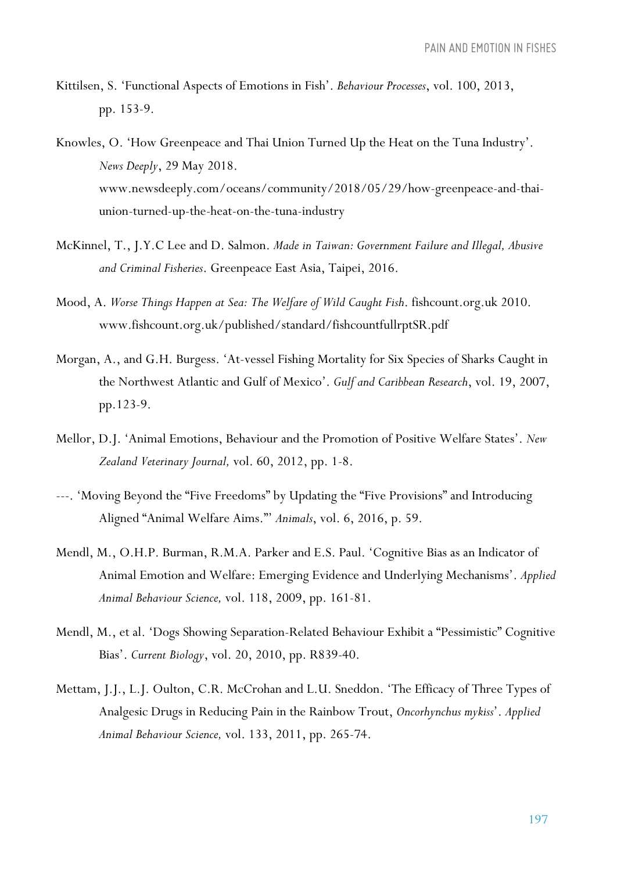- Kittilsen, S. 'Functional Aspects of Emotions in Fish'. *Behaviour Processes*, vol. 100, 2013, pp. 153-9.
- Knowles, O. 'How Greenpeace and Thai Union Turned Up the Heat on the Tuna Industry'. *News Deeply*, 29 May 2018. www.newsdeeply.com/oceans/community/2018/05/29/how-greenpeace-and-thaiunion-turned-up-the-heat-on-the-tuna-industry
- McKinnel, T., J.Y.C Lee and D. Salmon. *Made in Taiwan: Government Failure and Illegal, Abusive and Criminal Fisheries*. Greenpeace East Asia, Taipei, 2016.
- Mood, A. *Worse Things Happen at Sea: The Welfare of Wild Caught Fish*. fishcount.org.uk 2010. www.fishcount.org.uk/published/standard/fishcountfullrptSR.pdf
- Morgan, A., and G.H. Burgess. 'At-vessel Fishing Mortality for Six Species of Sharks Caught in the Northwest Atlantic and Gulf of Mexico'. *Gulf and Caribbean Research*, vol. 19, 2007, pp.123-9.
- Mellor, D.J. 'Animal Emotions, Behaviour and the Promotion of Positive Welfare States'. *New Zealand Veterinary Journal,* vol. 60, 2012, pp. 1-8.
- ---. 'Moving Beyond the "Five Freedoms" by Updating the "Five Provisions" and Introducing Aligned "Animal Welfare Aims."' *Animals*, vol. 6, 2016, p. 59.
- Mendl, M., O.H.P. Burman, R.M.A. Parker and E.S. Paul. 'Cognitive Bias as an Indicator of Animal Emotion and Welfare: Emerging Evidence and Underlying Mechanisms'. *Applied Animal Behaviour Science,* vol. 118, 2009, pp. 161-81.
- Mendl, M., et al. 'Dogs Showing Separation-Related Behaviour Exhibit a "Pessimistic" Cognitive Bias'. *Current Biology*, vol. 20, 2010, pp. R839-40.
- Mettam, J.J., L.J. Oulton, C.R. McCrohan and L.U. Sneddon. 'The Efficacy of Three Types of Analgesic Drugs in Reducing Pain in the Rainbow Trout, *Oncorhynchus mykiss*'. *Applied Animal Behaviour Science,* vol. 133, 2011, pp. 265-74.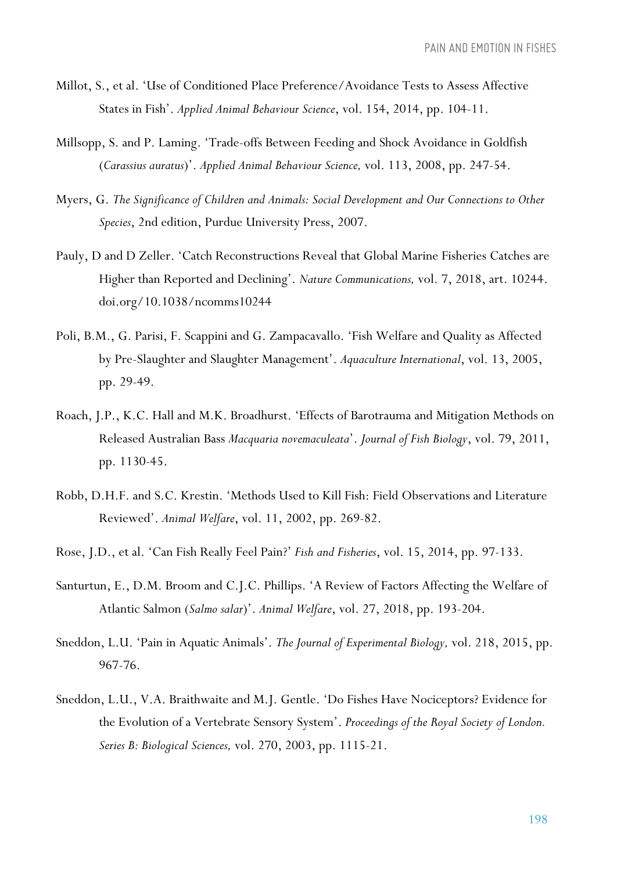- Millot, S., et al. 'Use of Conditioned Place Preference/Avoidance Tests to Assess Affective States in Fish'. *Applied Animal Behaviour Science*, vol. 154, 2014, pp. 104-11.
- Millsopp, S. and P. Laming. 'Trade-offs Between Feeding and Shock Avoidance in Goldfish (*Carassius auratus*)'. *Applied Animal Behaviour Science,* vol. 113, 2008, pp. 247-54.
- Myers, G. *The Significance of Children and Animals: Social Development and Our Connections to Other Species*, 2nd edition, Purdue University Press, 2007.
- Pauly, D and D Zeller. 'Catch Reconstructions Reveal that Global Marine Fisheries Catches are Higher than Reported and Declining'. *Nature Communications,* vol. 7, 2018, art. 10244. doi.org/10.1038/ncomms10244
- Poli, B.M., G. Parisi, F. Scappini and G. Zampacavallo. 'Fish Welfare and Quality as Affected by Pre-Slaughter and Slaughter Management'. *Aquaculture International*, vol. 13, 2005, pp. 29-49.
- Roach, J.P., K.C. Hall and M.K. Broadhurst. 'Effects of Barotrauma and Mitigation Methods on Released Australian Bass *Macquaria novemaculeata*'. *Journal of Fish Biology*, vol. 79, 2011, pp. 1130-45.
- Robb, D.H.F. and S.C. Krestin. 'Methods Used to Kill Fish: Field Observations and Literature Reviewed'. *Animal Welfare*, vol. 11, 2002, pp. 269-82.
- Rose, J.D., et al. 'Can Fish Really Feel Pain?' *Fish and Fisheries*, vol. 15, 2014, pp. 97-133.
- Santurtun, E., D.M. Broom and C.J.C. Phillips. 'A Review of Factors Affecting the Welfare of Atlantic Salmon (*Salmo salar*)'. *Animal Welfare*, vol. 27, 2018, pp. 193-204.
- Sneddon, L.U. 'Pain in Aquatic Animals'. *The Journal of Experimental Biology,* vol. 218, 2015, pp. 967-76.
- Sneddon, L.U., V.A. Braithwaite and M.J. Gentle. 'Do Fishes Have Nociceptors? Evidence for the Evolution of a Vertebrate Sensory System'. *Proceedings of the Royal Society of London. Series B: Biological Sciences,* vol. 270, 2003, pp. 1115-21.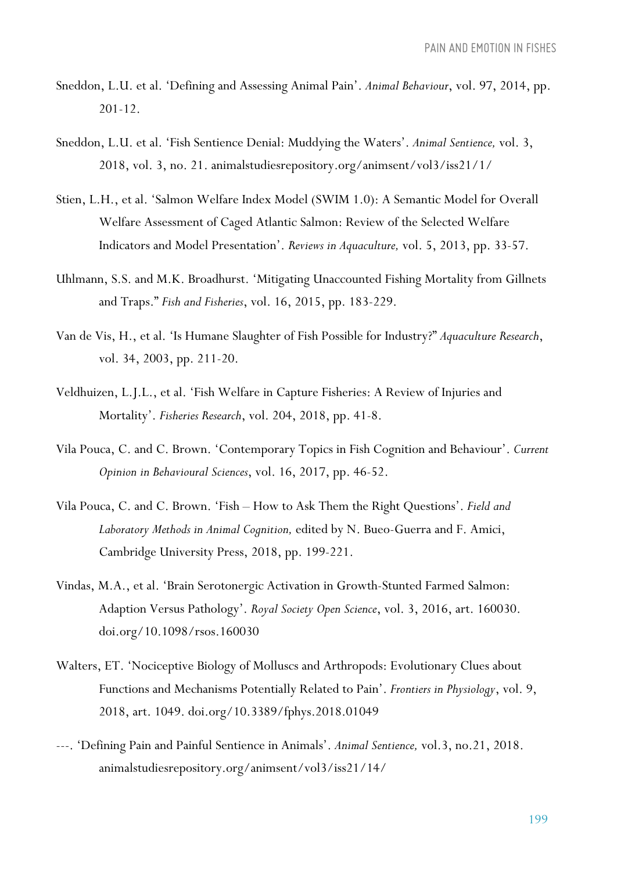- Sneddon, L.U. et al. 'Defining and Assessing Animal Pain'. *Animal Behaviour*, vol. 97, 2014, pp. 201-12.
- Sneddon, L.U. et al. 'Fish Sentience Denial: Muddying the Waters'. *Animal Sentience,* vol. 3, 2018, vol. 3, no. 21. animalstudiesrepository.org/animsent/vol3/iss21/1/
- Stien, L.H., et al. 'Salmon Welfare Index Model (SWIM 1.0): A Semantic Model for Overall Welfare Assessment of Caged Atlantic Salmon: Review of the Selected Welfare Indicators and Model Presentation'. *Reviews in Aquaculture,* vol. 5, 2013, pp. 33-57.
- Uhlmann, S.S. and M.K. Broadhurst. 'Mitigating Unaccounted Fishing Mortality from Gillnets and Traps." *Fish and Fisheries*, vol. 16, 2015, pp. 183-229.
- Van de Vis, H., et al. 'Is Humane Slaughter of Fish Possible for Industry?" *Aquaculture Research*, vol. 34, 2003, pp. 211-20.
- Veldhuizen, L.J.L., et al. 'Fish Welfare in Capture Fisheries: A Review of Injuries and Mortality'. *Fisheries Research*, vol. 204, 2018, pp. 41-8.
- Vila Pouca, C. and C. Brown. 'Contemporary Topics in Fish Cognition and Behaviour'. *Current Opinion in Behavioural Sciences*, vol. 16, 2017, pp. 46-52.
- Vila Pouca, C. and C. Brown. 'Fish How to Ask Them the Right Questions'. *Field and Laboratory Methods in Animal Cognition,* edited by N. Bueo-Guerra and F. Amici, Cambridge University Press, 2018, pp. 199-221.
- Vindas, M.A., et al. 'Brain Serotonergic Activation in Growth-Stunted Farmed Salmon: Adaption Versus Pathology'. *Royal Society Open Science*, vol. 3, 2016, art. 160030. doi.org/10.1098/rsos.160030
- Walters, ET. 'Nociceptive Biology of Molluscs and Arthropods: Evolutionary Clues about Functions and Mechanisms Potentially Related to Pain'. *Frontiers in Physiology*, vol. 9, 2018, art. 1049. doi.org/10.3389/fphys.2018.01049
- ---. 'Defining Pain and Painful Sentience in Animals'. *Animal Sentience,* vol.3, no.21, 2018. animalstudiesrepository.org/animsent/vol3/iss21/14/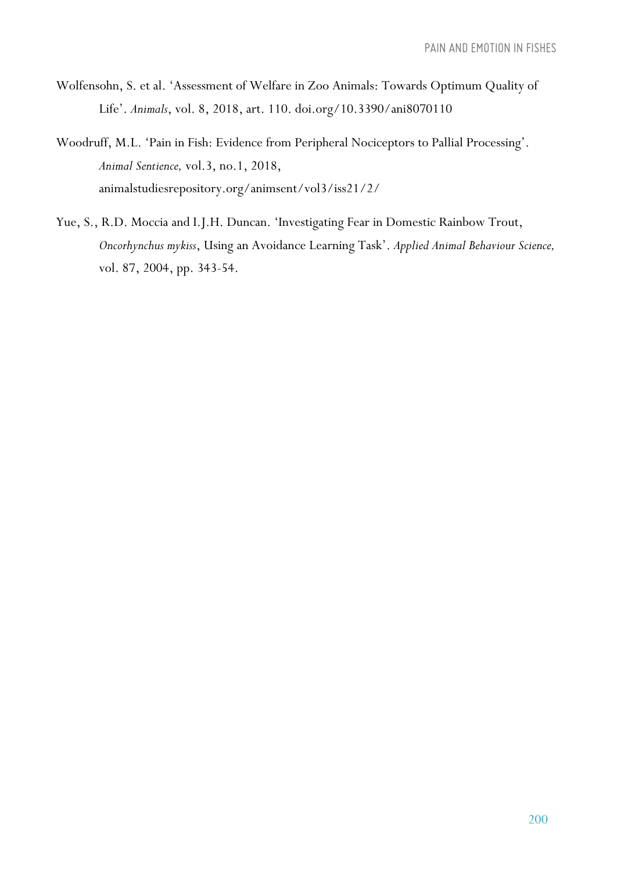- Wolfensohn, S. et al. 'Assessment of Welfare in Zoo Animals: Towards Optimum Quality of Life'. *Animals*, vol. 8, 2018, art. 110. doi.org/10.3390/ani8070110
- Woodruff, M.L. 'Pain in Fish: Evidence from Peripheral Nociceptors to Pallial Processing'. *Animal Sentience,* vol.3, no.1, 2018, animalstudiesrepository.org/animsent/vol3/iss21/2/
- Yue, S., R.D. Moccia and I.J.H. Duncan. 'Investigating Fear in Domestic Rainbow Trout, *Oncorhynchus mykiss*, Using an Avoidance Learning Task'. *Applied Animal Behaviour Science,*  vol. 87, 2004, pp. 343-54.